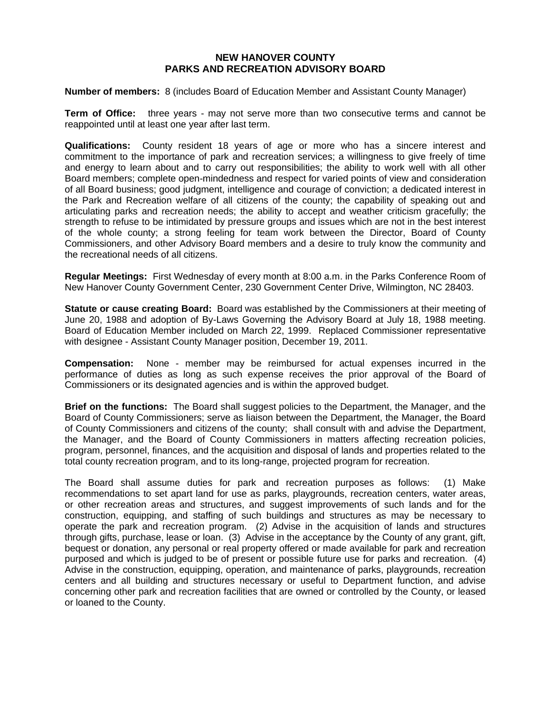## **NEW HANOVER COUNTY PARKS AND RECREATION ADVISORY BOARD**

**Number of members:** 8 (includes Board of Education Member and Assistant County Manager)

**Term of Office:** three years - may not serve more than two consecutive terms and cannot be reappointed until at least one year after last term.

**Qualifications:** County resident 18 years of age or more who has a sincere interest and commitment to the importance of park and recreation services; a willingness to give freely of time and energy to learn about and to carry out responsibilities; the ability to work well with all other Board members; complete open-mindedness and respect for varied points of view and consideration of all Board business; good judgment, intelligence and courage of conviction; a dedicated interest in the Park and Recreation welfare of all citizens of the county; the capability of speaking out and articulating parks and recreation needs; the ability to accept and weather criticism gracefully; the strength to refuse to be intimidated by pressure groups and issues which are not in the best interest of the whole county; a strong feeling for team work between the Director, Board of County Commissioners, and other Advisory Board members and a desire to truly know the community and the recreational needs of all citizens.

**Regular Meetings:** First Wednesday of every month at 8:00 a.m. in the Parks Conference Room of New Hanover County Government Center, 230 Government Center Drive, Wilmington, NC 28403.

**Statute or cause creating Board:** Board was established by the Commissioners at their meeting of June 20, 1988 and adoption of By-Laws Governing the Advisory Board at July 18, 1988 meeting. Board of Education Member included on March 22, 1999. Replaced Commissioner representative with designee - Assistant County Manager position, December 19, 2011.

**Compensation:** None - member may be reimbursed for actual expenses incurred in the performance of duties as long as such expense receives the prior approval of the Board of Commissioners or its designated agencies and is within the approved budget.

**Brief on the functions:** The Board shall suggest policies to the Department, the Manager, and the Board of County Commissioners; serve as liaison between the Department, the Manager, the Board of County Commissioners and citizens of the county; shall consult with and advise the Department, the Manager, and the Board of County Commissioners in matters affecting recreation policies, program, personnel, finances, and the acquisition and disposal of lands and properties related to the total county recreation program, and to its long-range, projected program for recreation.

The Board shall assume duties for park and recreation purposes as follows: (1) Make recommendations to set apart land for use as parks, playgrounds, recreation centers, water areas, or other recreation areas and structures, and suggest improvements of such lands and for the construction, equipping, and staffing of such buildings and structures as may be necessary to operate the park and recreation program. (2) Advise in the acquisition of lands and structures through gifts, purchase, lease or loan. (3) Advise in the acceptance by the County of any grant, gift, bequest or donation, any personal or real property offered or made available for park and recreation purposed and which is judged to be of present or possible future use for parks and recreation. (4) Advise in the construction, equipping, operation, and maintenance of parks, playgrounds, recreation centers and all building and structures necessary or useful to Department function, and advise concerning other park and recreation facilities that are owned or controlled by the County, or leased or loaned to the County.